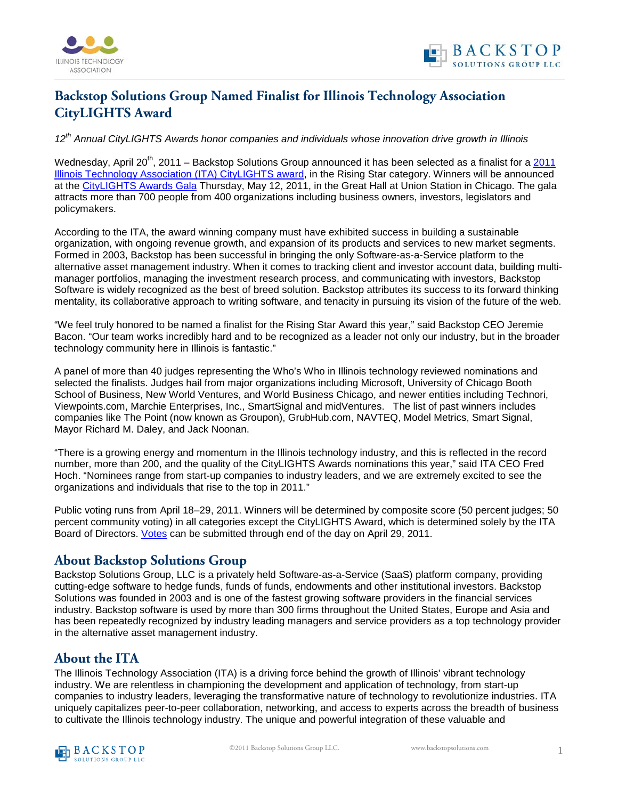

## **Backstop Solutions Group Named Finalist for Illinois Technology Association CityLIGHTS Award**

*12th Annual CityLIGHTS Awards honor companies and individuals whose innovation drive growth in Illinois*

Wednesday, April 20<sup>th</sup>, [2011](http://illinoistech.org/page.aspx/citylights) – Backstop Solutions Group announced it has been selected as a finalist for a 2011 [Illinois Technology Association \(ITA\) CityLIGHTS award,](http://illinoistech.org/page.aspx/citylights) in the Rising Star category. Winners will be announced at the [CityLIGHTS Awards Gala](http://illinoistech.org/page.aspx/clgala) Thursday, May 12, 2011, in the Great Hall at Union Station in Chicago. The gala attracts more than 700 people from 400 organizations including business owners, investors, legislators and policymakers.

According to the ITA, the award winning company must have exhibited success in building a sustainable organization, with ongoing revenue growth, and expansion of its products and services to new market segments. Formed in 2003, Backstop has been successful in bringing the only Software-as-a-Service platform to the alternative asset management industry. When it comes to tracking client and investor account data, building multimanager portfolios, managing the investment research process, and communicating with investors, Backstop Software is widely recognized as the best of breed solution. Backstop attributes its success to its forward thinking mentality, its collaborative approach to writing software, and tenacity in pursuing its vision of the future of the web.

"We feel truly honored to be named a finalist for the Rising Star Award this year," said Backstop CEO Jeremie Bacon. "Our team works incredibly hard and to be recognized as a leader not only our industry, but in the broader technology community here in Illinois is fantastic."

A panel of more than 40 judges representing the Who's Who in Illinois technology reviewed nominations and selected the finalists. Judges hail from major organizations including Microsoft, University of Chicago Booth School of Business, New World Ventures, and World Business Chicago, and newer entities including Technori, Viewpoints.com, Marchie Enterprises, Inc., SmartSignal and midVentures. The list of past winners includes companies like The Point (now known as Groupon), GrubHub.com, NAVTEQ, Model Metrics, Smart Signal, Mayor Richard M. Daley, and Jack Noonan.

"There is a growing energy and momentum in the Illinois technology industry, and this is reflected in the record number, more than 200, and the quality of the CityLIGHTS Awards nominations this year," said ITA CEO Fred Hoch. "Nominees range from start-up companies to industry leaders, and we are extremely excited to see the organizations and individuals that rise to the top in 2011."

Public voting runs from April 18–29, 2011. Winners will be determined by composite score (50 percent judges; 50 percent community voting) in all categories except the CityLIGHTS Award, which is determined solely by the ITA Board of Directors. [Votes](https://www.surveymonkey.com/s/2011itacitylightsvote) can be submitted through end of the day on April 29, 2011.

## **About Backstop Solutions Group**

Backstop Solutions Group, LLC is a privately held Software-as-a-Service (SaaS) platform company, providing cutting-edge software to hedge funds, funds of funds, endowments and other institutional investors. Backstop Solutions was founded in 2003 and is one of the fastest growing software providers in the financial services industry. Backstop software is used by more than 300 firms throughout the United States, Europe and Asia and has been repeatedly recognized by industry leading managers and service providers as a top technology provider in the alternative asset management industry.

## **About the ITA**

The Illinois Technology Association (ITA) is a driving force behind the growth of Illinois' vibrant technology industry. We are relentless in championing the development and application of technology, from start-up companies to industry leaders, leveraging the transformative nature of technology to revolutionize industries. ITA uniquely capitalizes peer-to-peer collaboration, networking, and access to experts across the breadth of business to cultivate the Illinois technology industry. The unique and powerful integration of these valuable and